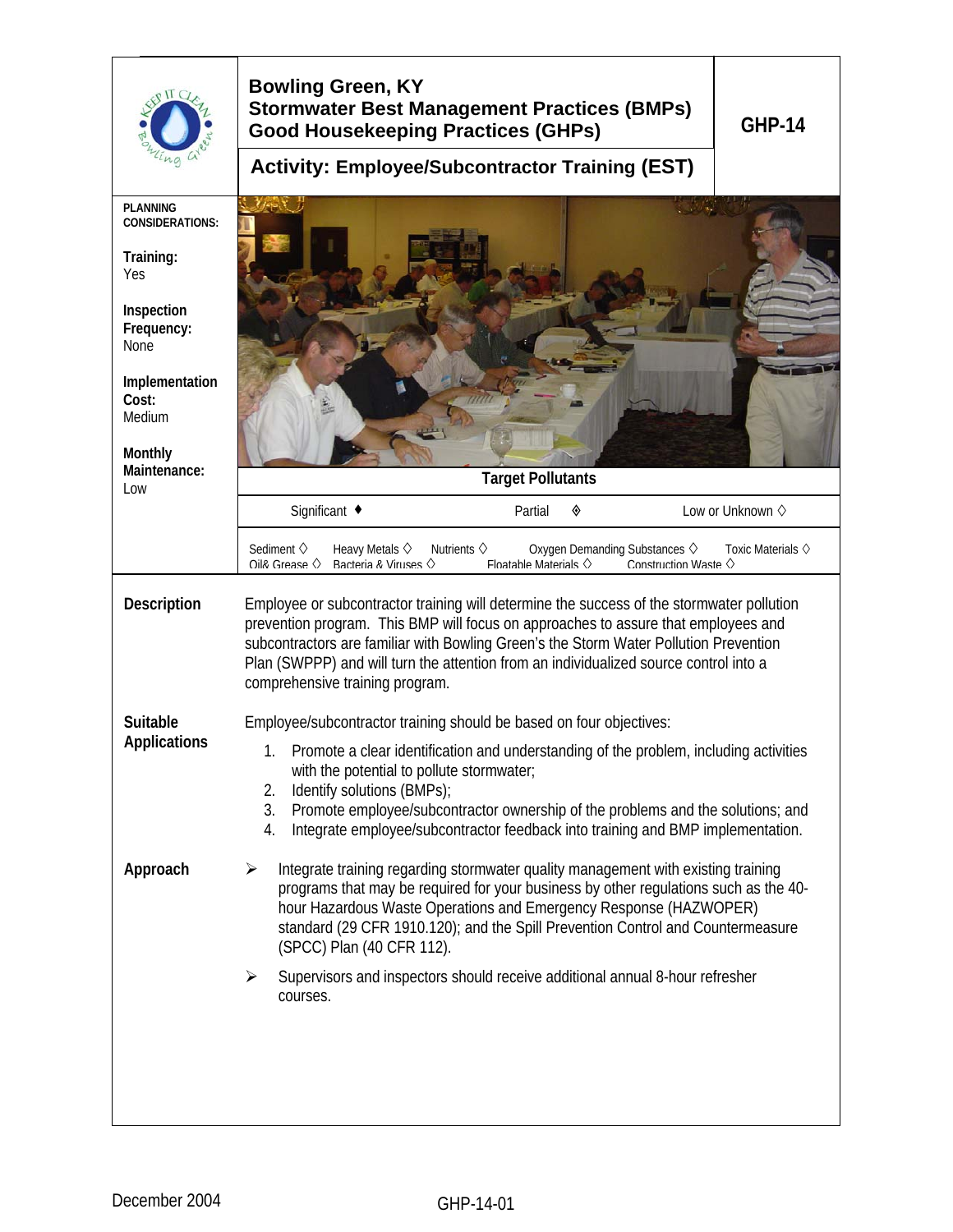|                                                                                                                                                                          | <b>Bowling Green, KY</b><br><b>Stormwater Best Management Practices (BMPs)</b><br><b>GHP-14</b><br><b>Good Housekeeping Practices (GHPs)</b>                                                                                                                                                                                                                                                                                          |  |  |
|--------------------------------------------------------------------------------------------------------------------------------------------------------------------------|---------------------------------------------------------------------------------------------------------------------------------------------------------------------------------------------------------------------------------------------------------------------------------------------------------------------------------------------------------------------------------------------------------------------------------------|--|--|
|                                                                                                                                                                          | <b>Activity: Employee/Subcontractor Training (EST)</b>                                                                                                                                                                                                                                                                                                                                                                                |  |  |
| <b>PLANNING</b><br><b>CONSIDERATIONS:</b><br>Training:<br>Yes<br>Inspection<br>Frequency:<br>None<br>Implementation<br>Cost:<br>Medium<br>Monthly<br>Maintenance:<br>Low | <b>Target Pollutants</b>                                                                                                                                                                                                                                                                                                                                                                                                              |  |  |
|                                                                                                                                                                          | Significant ◆<br>Partial<br>◈<br>Low or Unknown $\diamond$                                                                                                                                                                                                                                                                                                                                                                            |  |  |
|                                                                                                                                                                          | Sediment $\diamond$<br>Heavy Metals $\diamond$<br>Nutrients $\diamond$<br>Oxygen Demanding Substances $\diamondsuit$<br>Toxic Materials $\diamond$<br>$\bigcap$ il& Grease $\bigcirc$<br>Racteria & Viruses $\Diamond$<br>Floatable Materials $\Diamond$<br>Construction Waste $\Diamond$                                                                                                                                             |  |  |
| Description                                                                                                                                                              | Employee or subcontractor training will determine the success of the stormwater pollution<br>prevention program. This BMP will focus on approaches to assure that employees and<br>subcontractors are familiar with Bowling Green's the Storm Water Pollution Prevention<br>Plan (SWPPP) and will turn the attention from an individualized source control into a<br>comprehensive training program.                                  |  |  |
| Suitable<br><b>Applications</b>                                                                                                                                          | Employee/subcontractor training should be based on four objectives:<br>Promote a clear identification and understanding of the problem, including activities<br>1.<br>with the potential to pollute stormwater;<br>Identify solutions (BMPs);<br>2.<br>3.<br>Promote employee/subcontractor ownership of the problems and the solutions; and<br>Integrate employee/subcontractor feedback into training and BMP implementation.<br>4. |  |  |
| Approach                                                                                                                                                                 | Integrate training regarding stormwater quality management with existing training<br>➤<br>programs that may be required for your business by other regulations such as the 40-<br>hour Hazardous Waste Operations and Emergency Response (HAZWOPER)<br>standard (29 CFR 1910.120); and the Spill Prevention Control and Countermeasure<br>(SPCC) Plan (40 CFR 112).                                                                   |  |  |
|                                                                                                                                                                          | Supervisors and inspectors should receive additional annual 8-hour refresher<br>$\blacktriangleright$<br>courses.                                                                                                                                                                                                                                                                                                                     |  |  |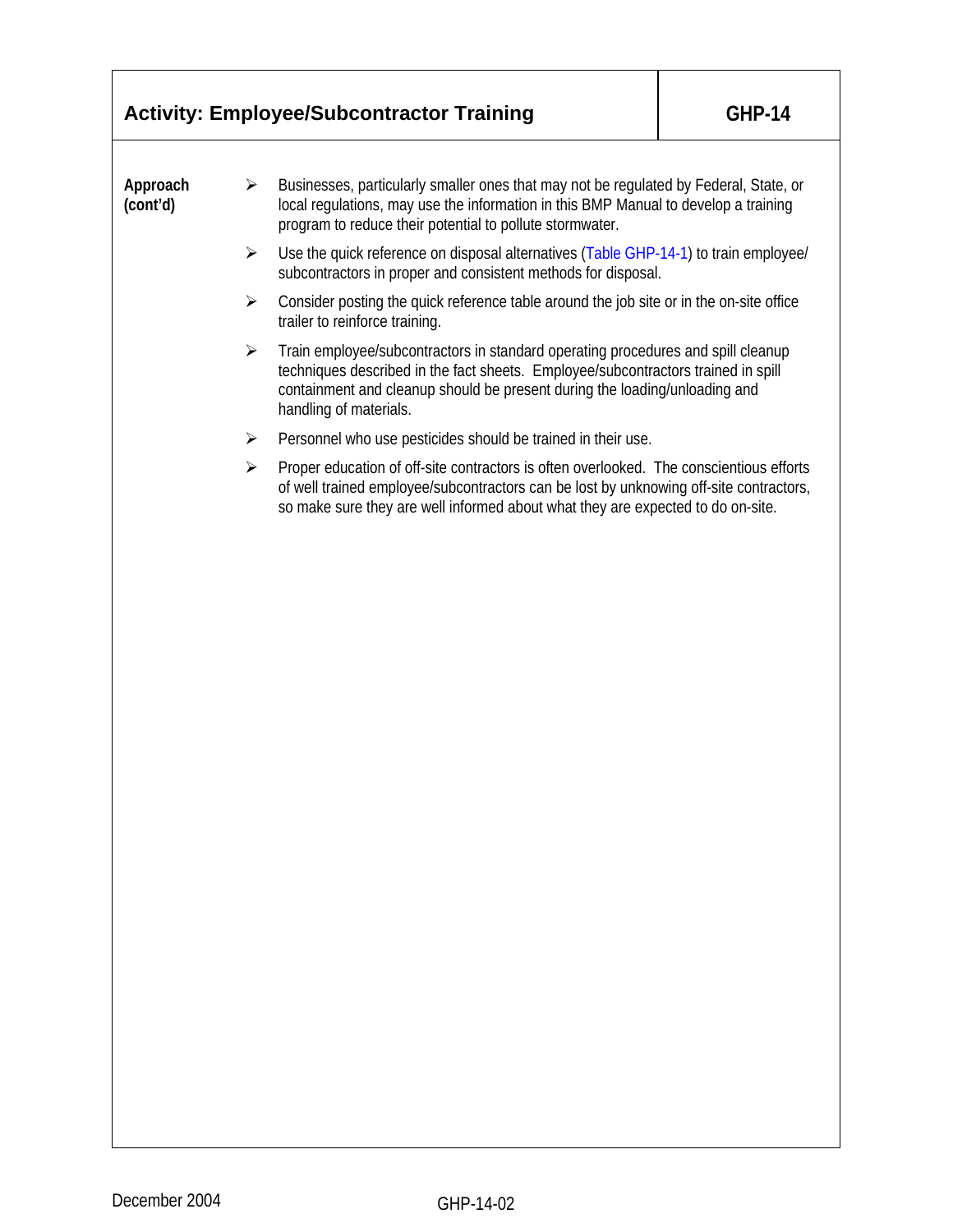|                      |                       | <b>Activity: Employee/Subcontractor Training</b>                                                                                                                                                                                                                              | <b>GHP-14</b> |  |  |
|----------------------|-----------------------|-------------------------------------------------------------------------------------------------------------------------------------------------------------------------------------------------------------------------------------------------------------------------------|---------------|--|--|
| Approach<br>(cont'd) | ➤                     | Businesses, particularly smaller ones that may not be regulated by Federal, State, or<br>local regulations, may use the information in this BMP Manual to develop a training<br>program to reduce their potential to pollute stormwater.                                      |               |  |  |
|                      | $\blacktriangleright$ | Use the quick reference on disposal alternatives (Table GHP-14-1) to train employee/<br>subcontractors in proper and consistent methods for disposal.                                                                                                                         |               |  |  |
|                      | ➤                     | Consider posting the quick reference table around the job site or in the on-site office<br>trailer to reinforce training.                                                                                                                                                     |               |  |  |
|                      | ➤                     | Train employee/subcontractors in standard operating procedures and spill cleanup<br>techniques described in the fact sheets. Employee/subcontractors trained in spill<br>containment and cleanup should be present during the loading/unloading and<br>handling of materials. |               |  |  |
|                      | ➤                     | Personnel who use pesticides should be trained in their use.                                                                                                                                                                                                                  |               |  |  |
|                      | ≻                     | Proper education of off-site contractors is often overlooked. The conscientious efforts<br>of well trained employee/subcontractors can be lost by unknowing off-site contractors,<br>so make sure they are well informed about what they are expected to do on-site.          |               |  |  |
|                      |                       |                                                                                                                                                                                                                                                                               |               |  |  |
|                      |                       |                                                                                                                                                                                                                                                                               |               |  |  |
|                      |                       |                                                                                                                                                                                                                                                                               |               |  |  |
|                      |                       |                                                                                                                                                                                                                                                                               |               |  |  |
|                      |                       |                                                                                                                                                                                                                                                                               |               |  |  |
|                      |                       |                                                                                                                                                                                                                                                                               |               |  |  |
|                      |                       |                                                                                                                                                                                                                                                                               |               |  |  |
|                      |                       |                                                                                                                                                                                                                                                                               |               |  |  |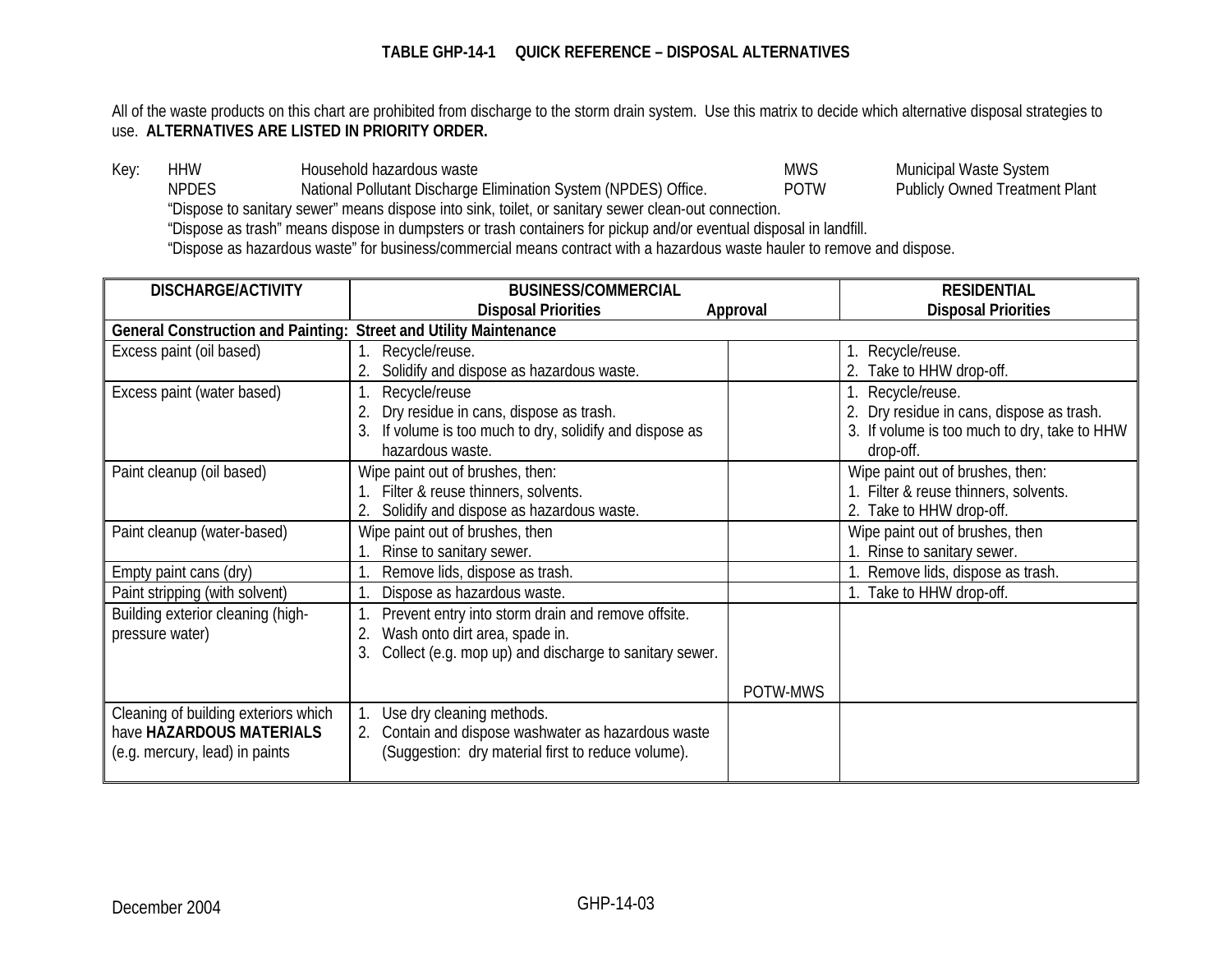All of the waste products on this chart are prohibited from discharge to the storm drain system. Use this matrix to decide which alternative disposal strategies to use. **ALTERNATIVES ARE LISTED IN PRIORITY ORDER.**

Key: HHW Household hazardous waste and the System MWS Municipal Waste System<br>Neron Mational Pollutant Discharge Elimination System (NPDES) Office. The MOTW Publicly Owned Treatment Plant National Pollutant Discharge Elimination System (NPDES) Office. POTW "Dispose to sanitary sewer" means dispose into sink, toilet, or sanitary sewer clean-out connection. "Dispose as trash" means dispose in dumpsters or trash containers for pickup and/or eventual disposal in landfill. "Dispose as hazardous waste" for business/commercial means contract with a hazardous waste hauler to remove and dispose.

| <b>DISCHARGE/ACTIVITY</b>                 | <b>BUSINESS/COMMERCIAL</b>                             |          | <b>RESIDENTIAL</b>                           |
|-------------------------------------------|--------------------------------------------------------|----------|----------------------------------------------|
|                                           | <b>Disposal Priorities</b>                             | Approval | <b>Disposal Priorities</b>                   |
| <b>General Construction and Painting:</b> | <b>Street and Utility Maintenance</b>                  |          |                                              |
| Excess paint (oil based)                  | Recycle/reuse.                                         |          | 1. Recycle/reuse.                            |
|                                           | Solidify and dispose as hazardous waste.               |          | 2. Take to HHW drop-off.                     |
| Excess paint (water based)                | Recycle/reuse                                          |          | 1. Recycle/reuse.                            |
|                                           | Dry residue in cans, dispose as trash.                 |          | 2. Dry residue in cans, dispose as trash.    |
|                                           | If volume is too much to dry, solidify and dispose as  |          | 3. If volume is too much to dry, take to HHW |
|                                           | hazardous waste.                                       |          | drop-off.                                    |
| Paint cleanup (oil based)                 | Wipe paint out of brushes, then:                       |          | Wipe paint out of brushes, then:             |
|                                           | Filter & reuse thinners, solvents.                     |          | 1. Filter & reuse thinners, solvents.        |
|                                           | Solidify and dispose as hazardous waste.               |          | 2. Take to HHW drop-off.                     |
| Paint cleanup (water-based)               | Wipe paint out of brushes, then                        |          | Wipe paint out of brushes, then              |
|                                           | Rinse to sanitary sewer.                               |          | 1. Rinse to sanitary sewer.                  |
| Empty paint cans (dry)                    | Remove lids, dispose as trash.                         |          | 1. Remove lids, dispose as trash.            |
| Paint stripping (with solvent)            | Dispose as hazardous waste.                            |          | 1. Take to HHW drop-off.                     |
| Building exterior cleaning (high-         | Prevent entry into storm drain and remove offsite.     |          |                                              |
| pressure water)                           | Wash onto dirt area, spade in.                         |          |                                              |
|                                           | Collect (e.g. mop up) and discharge to sanitary sewer. |          |                                              |
|                                           |                                                        |          |                                              |
|                                           |                                                        | POTW-MWS |                                              |
| Cleaning of building exteriors which      | Use dry cleaning methods.                              |          |                                              |
| have HAZARDOUS MATERIALS                  | 2. Contain and dispose washwater as hazardous waste    |          |                                              |
| (e.g. mercury, lead) in paints            | (Suggestion: dry material first to reduce volume).     |          |                                              |
|                                           |                                                        |          |                                              |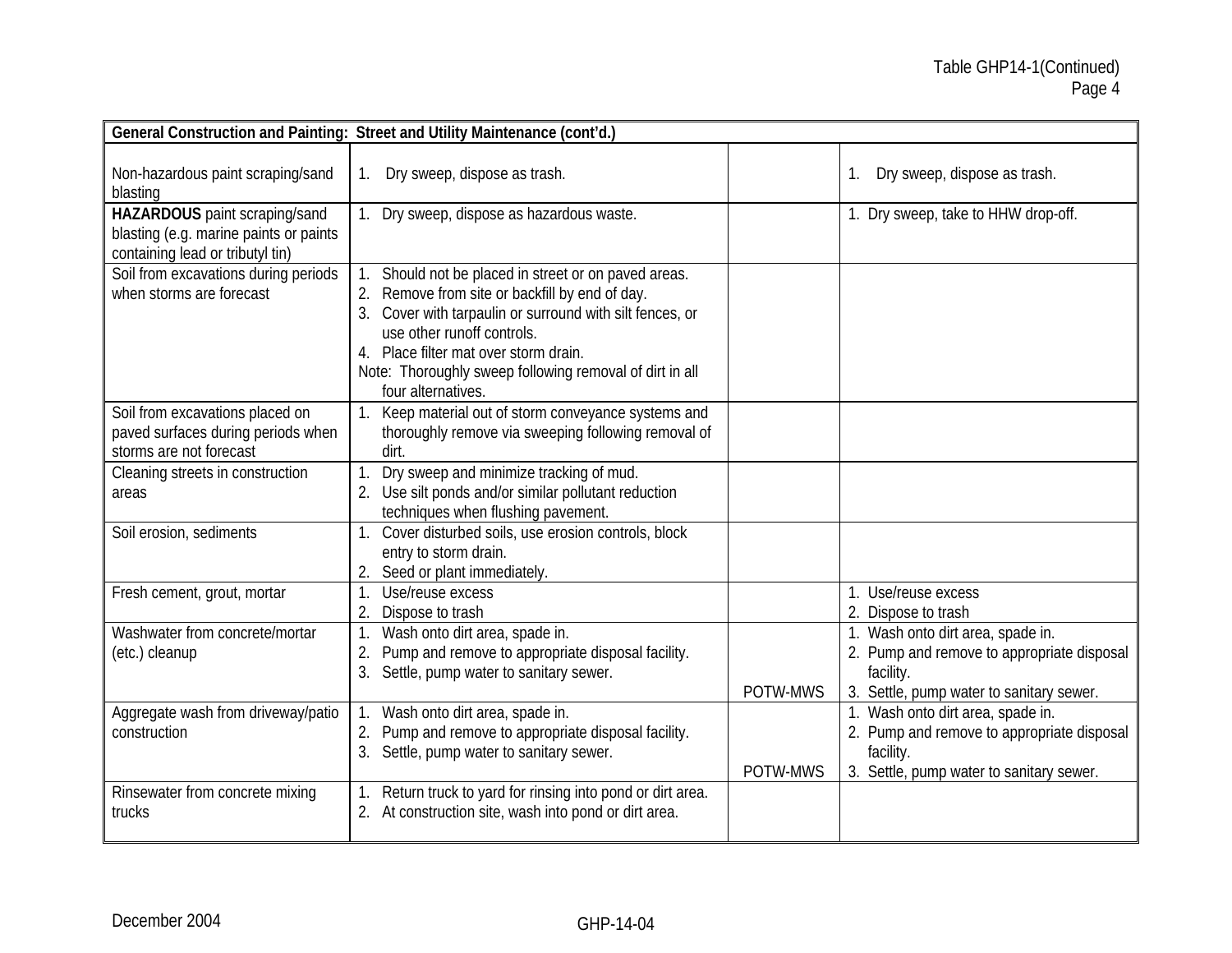|                                                                                                             | General Construction and Painting: Street and Utility Maintenance (cont'd.)                                                                                                                                                                                                                                             |          |                                                                                                                                          |
|-------------------------------------------------------------------------------------------------------------|-------------------------------------------------------------------------------------------------------------------------------------------------------------------------------------------------------------------------------------------------------------------------------------------------------------------------|----------|------------------------------------------------------------------------------------------------------------------------------------------|
| Non-hazardous paint scraping/sand<br>blasting                                                               | 1. Dry sweep, dispose as trash.                                                                                                                                                                                                                                                                                         |          | Dry sweep, dispose as trash.<br>$1_{\cdot}$                                                                                              |
| HAZARDOUS paint scraping/sand<br>blasting (e.g. marine paints or paints<br>containing lead or tributyl tin) | 1. Dry sweep, dispose as hazardous waste.                                                                                                                                                                                                                                                                               |          | 1. Dry sweep, take to HHW drop-off.                                                                                                      |
| Soil from excavations during periods<br>when storms are forecast                                            | Should not be placed in street or on paved areas.<br>2. Remove from site or backfill by end of day.<br>3. Cover with tarpaulin or surround with silt fences, or<br>use other runoff controls.<br>4. Place filter mat over storm drain.<br>Note: Thoroughly sweep following removal of dirt in all<br>four alternatives. |          |                                                                                                                                          |
| Soil from excavations placed on<br>paved surfaces during periods when<br>storms are not forecast            | 1. Keep material out of storm conveyance systems and<br>thoroughly remove via sweeping following removal of<br>dirt.                                                                                                                                                                                                    |          |                                                                                                                                          |
| Cleaning streets in construction<br>areas                                                                   | Dry sweep and minimize tracking of mud.<br>2. Use silt ponds and/or similar pollutant reduction<br>techniques when flushing pavement.                                                                                                                                                                                   |          |                                                                                                                                          |
| Soil erosion, sediments                                                                                     | Cover disturbed soils, use erosion controls, block<br>entry to storm drain.<br>2. Seed or plant immediately.                                                                                                                                                                                                            |          |                                                                                                                                          |
| Fresh cement, grout, mortar                                                                                 | Use/reuse excess<br>1.<br>Dispose to trash                                                                                                                                                                                                                                                                              |          | 1. Use/reuse excess<br>2. Dispose to trash                                                                                               |
| Washwater from concrete/mortar<br>(etc.) cleanup                                                            | Wash onto dirt area, spade in.<br>Pump and remove to appropriate disposal facility.<br>2.<br>3. Settle, pump water to sanitary sewer.                                                                                                                                                                                   | POTW-MWS | 1. Wash onto dirt area, spade in.<br>2. Pump and remove to appropriate disposal<br>facility.<br>3. Settle, pump water to sanitary sewer. |
| Aggregate wash from driveway/patio<br>construction                                                          | 1. Wash onto dirt area, spade in.<br>2. Pump and remove to appropriate disposal facility.<br>3. Settle, pump water to sanitary sewer.                                                                                                                                                                                   | POTW-MWS | 1. Wash onto dirt area, spade in.<br>2. Pump and remove to appropriate disposal<br>facility.<br>3. Settle, pump water to sanitary sewer. |
| Rinsewater from concrete mixing<br>trucks                                                                   | 1. Return truck to yard for rinsing into pond or dirt area.<br>2. At construction site, wash into pond or dirt area.                                                                                                                                                                                                    |          |                                                                                                                                          |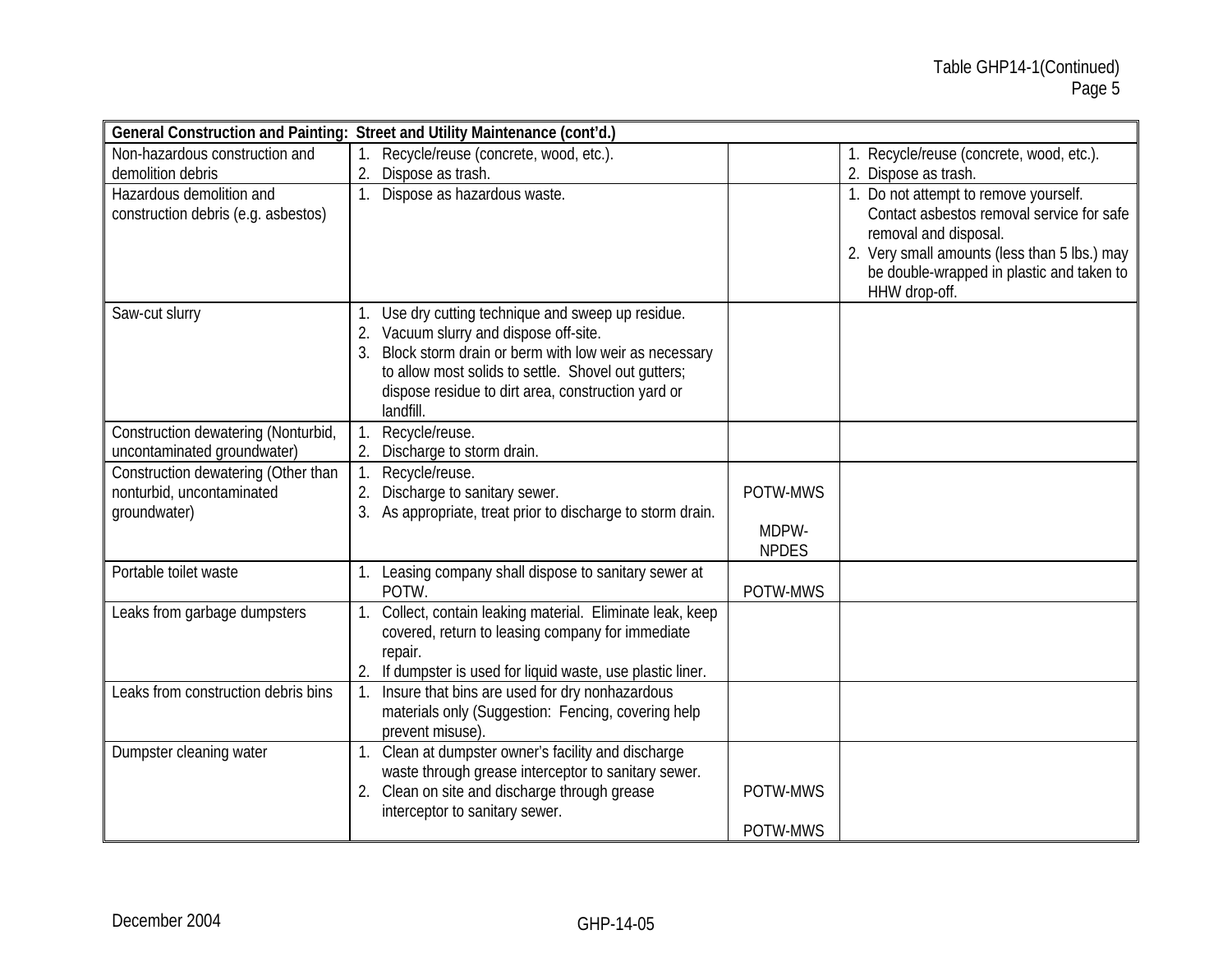|                                     | General Construction and Painting: Street and Utility Maintenance (cont'd.)     |              |                                                                       |
|-------------------------------------|---------------------------------------------------------------------------------|--------------|-----------------------------------------------------------------------|
| Non-hazardous construction and      | 1. Recycle/reuse (concrete, wood, etc.).                                        |              | 1. Recycle/reuse (concrete, wood, etc.).                              |
| demolition debris                   | Dispose as trash.                                                               |              | 2. Dispose as trash.                                                  |
| Hazardous demolition and            | 1. Dispose as hazardous waste.                                                  |              | 1. Do not attempt to remove yourself.                                 |
| construction debris (e.g. asbestos) |                                                                                 |              | Contact asbestos removal service for safe                             |
|                                     |                                                                                 |              | removal and disposal.<br>2. Very small amounts (less than 5 lbs.) may |
|                                     |                                                                                 |              | be double-wrapped in plastic and taken to                             |
|                                     |                                                                                 |              | HHW drop-off.                                                         |
| Saw-cut slurry                      | Use dry cutting technique and sweep up residue.                                 |              |                                                                       |
|                                     | 2. Vacuum slurry and dispose off-site.                                          |              |                                                                       |
|                                     | Block storm drain or berm with low weir as necessary                            |              |                                                                       |
|                                     | to allow most solids to settle. Shovel out qutters;                             |              |                                                                       |
|                                     | dispose residue to dirt area, construction yard or<br>landfill.                 |              |                                                                       |
| Construction dewatering (Nonturbid, | Recycle/reuse.                                                                  |              |                                                                       |
| uncontaminated groundwater)         | 2. Discharge to storm drain.                                                    |              |                                                                       |
| Construction dewatering (Other than | Recycle/reuse.<br>1.                                                            |              |                                                                       |
| nonturbid, uncontaminated           | Discharge to sanitary sewer.<br>2.                                              | POTW-MWS     |                                                                       |
| groundwater)                        | 3. As appropriate, treat prior to discharge to storm drain.                     |              |                                                                       |
|                                     |                                                                                 | MDPW-        |                                                                       |
|                                     |                                                                                 | <b>NPDES</b> |                                                                       |
| Portable toilet waste               | 1. Leasing company shall dispose to sanitary sewer at<br>POTW.                  | POTW-MWS     |                                                                       |
| Leaks from garbage dumpsters        | Collect, contain leaking material. Eliminate leak, keep                         |              |                                                                       |
|                                     | covered, return to leasing company for immediate                                |              |                                                                       |
|                                     | repair.                                                                         |              |                                                                       |
|                                     | $\overline{2}$<br>If dumpster is used for liquid waste, use plastic liner.      |              |                                                                       |
| Leaks from construction debris bins | Insure that bins are used for dry nonhazardous                                  |              |                                                                       |
|                                     | materials only (Suggestion: Fencing, covering help                              |              |                                                                       |
|                                     | prevent misuse)                                                                 |              |                                                                       |
| Dumpster cleaning water             | 1. Clean at dumpster owner's facility and discharge                             |              |                                                                       |
|                                     | waste through grease interceptor to sanitary sewer.                             | POTW-MWS     |                                                                       |
|                                     | 2. Clean on site and discharge through grease<br>interceptor to sanitary sewer. |              |                                                                       |
|                                     |                                                                                 | POTW-MWS     |                                                                       |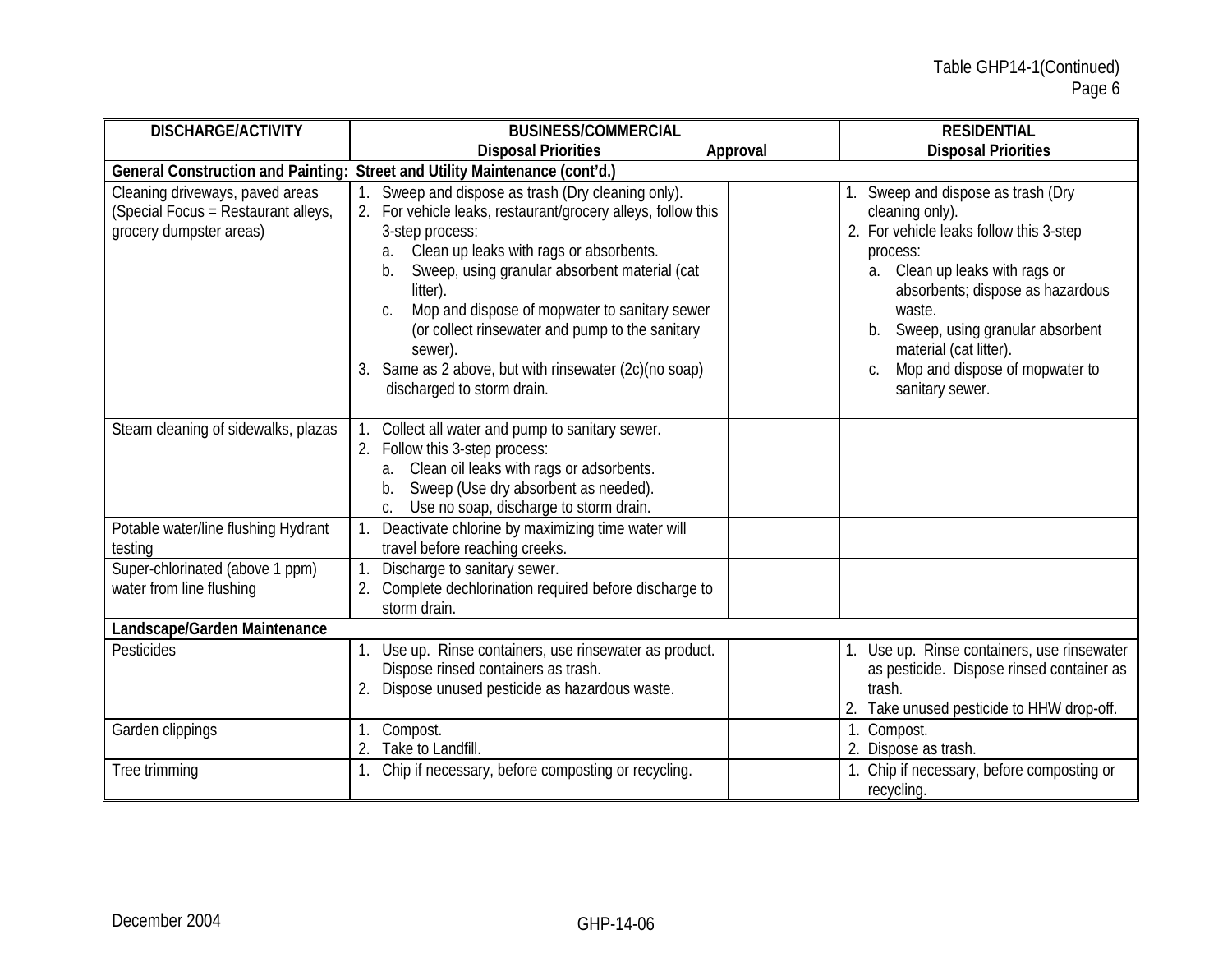| <b>DISCHARGE/ACTIVITY</b>                                                                         | <b>BUSINESS/COMMERCIAL</b>                                                                                                                                                                                                                                                                                                                                                                                                                                      | <b>RESIDENTIAL</b>                                                                                                                                                                                                                                                                                                         |
|---------------------------------------------------------------------------------------------------|-----------------------------------------------------------------------------------------------------------------------------------------------------------------------------------------------------------------------------------------------------------------------------------------------------------------------------------------------------------------------------------------------------------------------------------------------------------------|----------------------------------------------------------------------------------------------------------------------------------------------------------------------------------------------------------------------------------------------------------------------------------------------------------------------------|
|                                                                                                   | <b>Disposal Priorities</b>                                                                                                                                                                                                                                                                                                                                                                                                                                      | <b>Disposal Priorities</b><br>Approval                                                                                                                                                                                                                                                                                     |
| <b>General Construction and Painting:</b>                                                         | Street and Utility Maintenance (cont'd.)                                                                                                                                                                                                                                                                                                                                                                                                                        |                                                                                                                                                                                                                                                                                                                            |
| Cleaning driveways, paved areas<br>(Special Focus = Restaurant alleys,<br>grocery dumpster areas) | Sweep and dispose as trash (Dry cleaning only).<br>2. For vehicle leaks, restaurant/grocery alleys, follow this<br>3-step process:<br>Clean up leaks with rags or absorbents.<br>а.<br>Sweep, using granular absorbent material (cat<br>b.<br>litter).<br>Mop and dispose of mopwater to sanitary sewer<br>C.<br>(or collect rinsewater and pump to the sanitary<br>sewer).<br>Same as 2 above, but with rinsewater (2c)(no soap)<br>discharged to storm drain. | Sweep and dispose as trash (Dry<br>cleaning only).<br>2. For vehicle leaks follow this 3-step<br>process:<br>Clean up leaks with rags or<br>a.<br>absorbents; dispose as hazardous<br>waste.<br>Sweep, using granular absorbent<br>b.<br>material (cat litter).<br>Mop and dispose of mopwater to<br>C.<br>sanitary sewer. |
| Steam cleaning of sidewalks, plazas                                                               | Collect all water and pump to sanitary sewer.<br>2. Follow this 3-step process:<br>a. Clean oil leaks with rags or adsorbents.<br>Sweep (Use dry absorbent as needed).<br>b.<br>Use no soap, discharge to storm drain.                                                                                                                                                                                                                                          |                                                                                                                                                                                                                                                                                                                            |
| Potable water/line flushing Hydrant<br>testing                                                    | Deactivate chlorine by maximizing time water will<br>travel before reaching creeks.                                                                                                                                                                                                                                                                                                                                                                             |                                                                                                                                                                                                                                                                                                                            |
| Super-chlorinated (above 1 ppm)<br>water from line flushing                                       | Discharge to sanitary sewer.<br>Complete dechlorination required before discharge to<br>storm drain.                                                                                                                                                                                                                                                                                                                                                            |                                                                                                                                                                                                                                                                                                                            |
| Landscape/Garden Maintenance                                                                      |                                                                                                                                                                                                                                                                                                                                                                                                                                                                 |                                                                                                                                                                                                                                                                                                                            |
| Pesticides                                                                                        | Use up. Rinse containers, use rinsewater as product.<br>Dispose rinsed containers as trash.<br>2. Dispose unused pesticide as hazardous waste.                                                                                                                                                                                                                                                                                                                  | Use up. Rinse containers, use rinsewater<br>as pesticide. Dispose rinsed container as<br>trash.<br>2. Take unused pesticide to HHW drop-off.                                                                                                                                                                               |
| Garden clippings                                                                                  | Compost.<br>Take to Landfill.                                                                                                                                                                                                                                                                                                                                                                                                                                   | 1. Compost.<br>2. Dispose as trash.                                                                                                                                                                                                                                                                                        |
| Tree trimming                                                                                     | 1. Chip if necessary, before composting or recycling.                                                                                                                                                                                                                                                                                                                                                                                                           | 1. Chip if necessary, before composting or<br>recycling.                                                                                                                                                                                                                                                                   |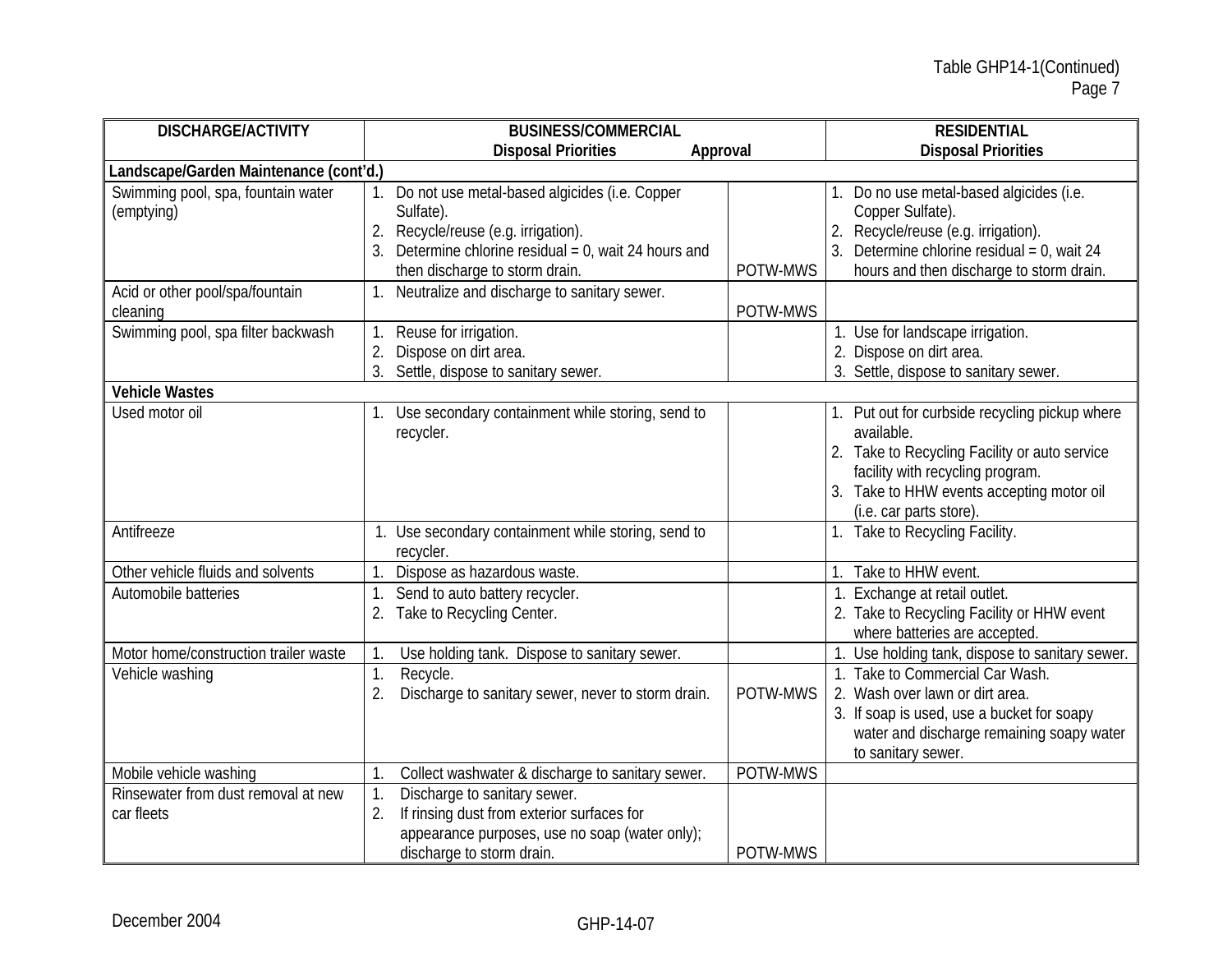| <b>DISCHARGE/ACTIVITY</b>                         | <b>BUSINESS/COMMERCIAL</b>                                                                                                                                                                         |          | <b>RESIDENTIAL</b>                                                                                                                                                                                                        |
|---------------------------------------------------|----------------------------------------------------------------------------------------------------------------------------------------------------------------------------------------------------|----------|---------------------------------------------------------------------------------------------------------------------------------------------------------------------------------------------------------------------------|
|                                                   | <b>Disposal Priorities</b><br>Approval                                                                                                                                                             |          | <b>Disposal Priorities</b>                                                                                                                                                                                                |
| Landscape/Garden Maintenance (cont'd.)            |                                                                                                                                                                                                    |          |                                                                                                                                                                                                                           |
| Swimming pool, spa, fountain water<br>(emptying)  | 1. Do not use metal-based algicides (i.e. Copper<br>Sulfate).<br>2. Recycle/reuse (e.g. irrigation).<br>3. Determine chlorine residual = $0$ , wait 24 hours and<br>then discharge to storm drain. | POTW-MWS | 1. Do no use metal-based algicides (i.e.<br>Copper Sulfate).<br>2. Recycle/reuse (e.g. irrigation).<br>3. Determine chlorine residual = $0$ , wait 24<br>hours and then discharge to storm drain.                         |
| Acid or other pool/spa/fountain<br>cleaning       | 1. Neutralize and discharge to sanitary sewer.                                                                                                                                                     | POTW-MWS |                                                                                                                                                                                                                           |
| Swimming pool, spa filter backwash                | 1. Reuse for irrigation.<br>Dispose on dirt area.<br>2.<br>3. Settle, dispose to sanitary sewer.                                                                                                   |          | 1. Use for landscape irrigation.<br>2. Dispose on dirt area.<br>3. Settle, dispose to sanitary sewer.                                                                                                                     |
| <b>Vehicle Wastes</b>                             |                                                                                                                                                                                                    |          |                                                                                                                                                                                                                           |
| Used motor oil                                    | 1. Use secondary containment while storing, send to<br>recycler.                                                                                                                                   |          | 1. Put out for curbside recycling pickup where<br>available.<br>2. Take to Recycling Facility or auto service<br>facility with recycling program.<br>3. Take to HHW events accepting motor oil<br>(i.e. car parts store). |
| Antifreeze                                        | 1. Use secondary containment while storing, send to<br>recycler.                                                                                                                                   |          | 1. Take to Recycling Facility.                                                                                                                                                                                            |
| Other vehicle fluids and solvents                 | Dispose as hazardous waste.                                                                                                                                                                        |          | 1. Take to HHW event.                                                                                                                                                                                                     |
| Automobile batteries                              | Send to auto battery recycler.<br>2. Take to Recycling Center.                                                                                                                                     |          | 1. Exchange at retail outlet.<br>2. Take to Recycling Facility or HHW event<br>where batteries are accepted.                                                                                                              |
| Motor home/construction trailer waste             | Use holding tank. Dispose to sanitary sewer.                                                                                                                                                       |          | Use holding tank, dispose to sanitary sewer.                                                                                                                                                                              |
| Vehicle washing                                   | Recycle.<br>1.<br>Discharge to sanitary sewer, never to storm drain.<br>2.                                                                                                                         | POTW-MWS | 1. Take to Commercial Car Wash.<br>2. Wash over lawn or dirt area.<br>3. If soap is used, use a bucket for soapy<br>water and discharge remaining soapy water<br>to sanitary sewer.                                       |
| Mobile vehicle washing                            | Collect washwater & discharge to sanitary sewer.                                                                                                                                                   | POTW-MWS |                                                                                                                                                                                                                           |
| Rinsewater from dust removal at new<br>car fleets | Discharge to sanitary sewer.<br>1.<br>If rinsing dust from exterior surfaces for<br>2.<br>appearance purposes, use no soap (water only);<br>discharge to storm drain.                              | POTW-MWS |                                                                                                                                                                                                                           |